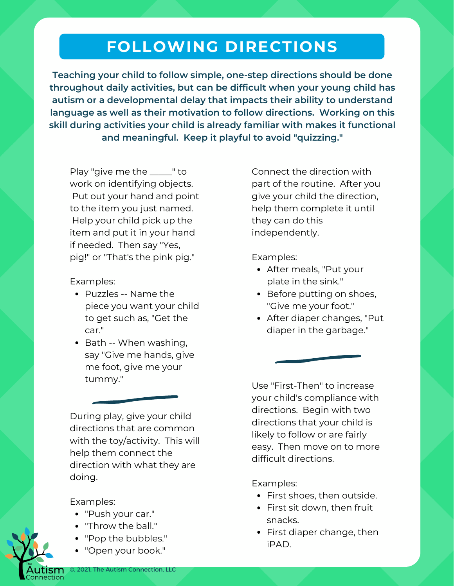## **FOLLOWING DIRECTIONS**

**Teaching your child to follow simple, one-step directions should be done throughout daily activities, but can be difficult when your young child has autism or a developmental delay that impacts their ability to understand language as well as their motivation to follow directions. Working on this skill during activities your child is already familiar with makes it functional and meaningful. Keep it playful to avoid "quizzing."**

Play "give me the \_\_\_\_\_" to work on identifying objects. Put out your hand and point to the item you just named. Help your child pick up the item and put it in your hand if needed. Then say "Yes, pig!" or "That's the pink pig."

Examples:

- Puzzles -- Name the piece you want your child to get such as, "Get the car."
- Bath -- When washing, say "Give me hands, give me foot, give me your tummy."

During play, give your child directions that are common with the toy/activity. This will help them connect the direction with what they are doing.

Examples:

- "Push your car."
- "Throw the ball."
- "Pop the bubbles."
- "Open your book."

Connect the direction with part of the routine. After you give your child the direction, help them complete it until they can do this independently.

Examples:

- After meals, "Put your plate in the sink."
- Before putting on shoes, "Give me your foot."
- After diaper changes, "Put diaper in the garbage."

Use "First-Then" to increase your child's compliance with directions. Begin with two directions that your child is likely to follow or are fairly easy. Then move on to more difficult directions.

Examples:

- First shoes, then outside.
- First sit down, then fruit snacks.
- First diaper change, then iPAD.

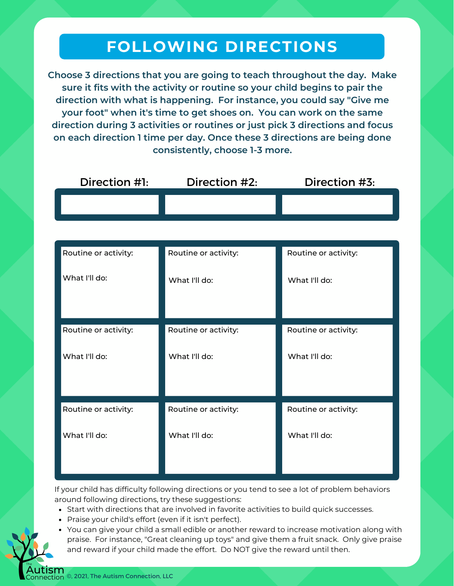## **FOLLOWING DIRECTIONS**

**Choose 3 directions that you are going to teach throughout the day. Make sure it fits with the activity or routine so your child begins to pair the direction with what is happening. For instance, you could say "Give me your foot" when it's time to get shoes on. You can work on the same direction during 3 activities or routines or just pick 3 directions and focus on each direction 1 time per day. Once these 3 directions are being done consistently, choose 1-3 more.**

| Routine or activity: | Routine or activity: | Routine or activity: |
|----------------------|----------------------|----------------------|
| What I'll do:        | What I'll do:        | What I'll do:        |
|                      |                      |                      |
| Routine or activity: | Routine or activity: | Routine or activity: |
| What I'll do:        | What I'll do:        | What I'll do:        |
|                      |                      |                      |
| Routine or activity: | Routine or activity: | Routine or activity: |
| What I'll do:        | What I'll do:        | What I'll do:        |

If your child has difficulty following directions or you tend to see a lot of problem behaviors around following directions, try these suggestions:

- Start with directions that are involved in favorite activities to build quick successes.
- Praise your child's effort (even if it isn't perfect).
- You can give your child a small edible or another reward to increase motivation along with praise. For instance, "Great cleaning up toys" and give them a fruit snack. Only give praise and reward if your child made the effort. Do NOT give the reward until then.